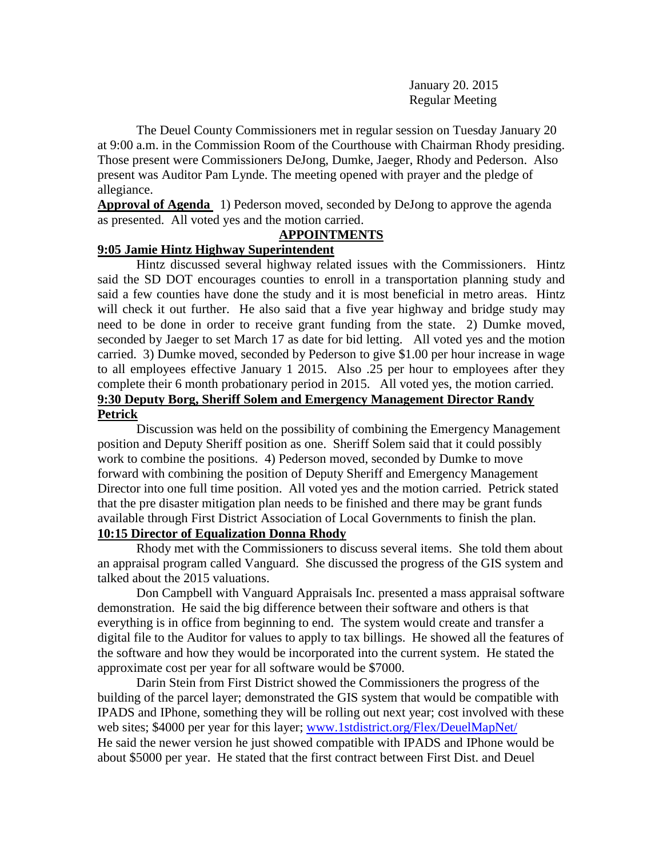January 20. 2015 Regular Meeting

The Deuel County Commissioners met in regular session on Tuesday January 20 at 9:00 a.m. in the Commission Room of the Courthouse with Chairman Rhody presiding. Those present were Commissioners DeJong, Dumke, Jaeger, Rhody and Pederson. Also present was Auditor Pam Lynde. The meeting opened with prayer and the pledge of allegiance.

**Approval of Agenda** 1) Pederson moved, seconded by DeJong to approve the agenda as presented. All voted yes and the motion carried.

## **APPOINTMENTS**

## **9:05 Jamie Hintz Highway Superintendent**

Hintz discussed several highway related issues with the Commissioners. Hintz said the SD DOT encourages counties to enroll in a transportation planning study and said a few counties have done the study and it is most beneficial in metro areas. Hintz will check it out further. He also said that a five year highway and bridge study may need to be done in order to receive grant funding from the state. 2) Dumke moved, seconded by Jaeger to set March 17 as date for bid letting. All voted yes and the motion carried. 3) Dumke moved, seconded by Pederson to give \$1.00 per hour increase in wage to all employees effective January 1 2015. Also .25 per hour to employees after they complete their 6 month probationary period in 2015. All voted yes, the motion carried. **9:30 Deputy Borg, Sheriff Solem and Emergency Management Director Randy Petrick**

Discussion was held on the possibility of combining the Emergency Management position and Deputy Sheriff position as one. Sheriff Solem said that it could possibly work to combine the positions. 4) Pederson moved, seconded by Dumke to move forward with combining the position of Deputy Sheriff and Emergency Management Director into one full time position. All voted yes and the motion carried. Petrick stated that the pre disaster mitigation plan needs to be finished and there may be grant funds available through First District Association of Local Governments to finish the plan.

**10:15 Director of Equalization Donna Rhody**

Rhody met with the Commissioners to discuss several items. She told them about an appraisal program called Vanguard. She discussed the progress of the GIS system and talked about the 2015 valuations.

Don Campbell with Vanguard Appraisals Inc. presented a mass appraisal software demonstration. He said the big difference between their software and others is that everything is in office from beginning to end. The system would create and transfer a digital file to the Auditor for values to apply to tax billings. He showed all the features of the software and how they would be incorporated into the current system. He stated the approximate cost per year for all software would be \$7000.

Darin Stein from First District showed the Commissioners the progress of the building of the parcel layer; demonstrated the GIS system that would be compatible with IPADS and IPhone, something they will be rolling out next year; cost involved with these web sites; \$4000 per year for this layer; [www.1stdistrict.org/Flex/DeuelMapNet/](http://www.1stdistrict.org/Flex/DeuelMapNet/) He said the newer version he just showed compatible with IPADS and IPhone would be about \$5000 per year. He stated that the first contract between First Dist. and Deuel